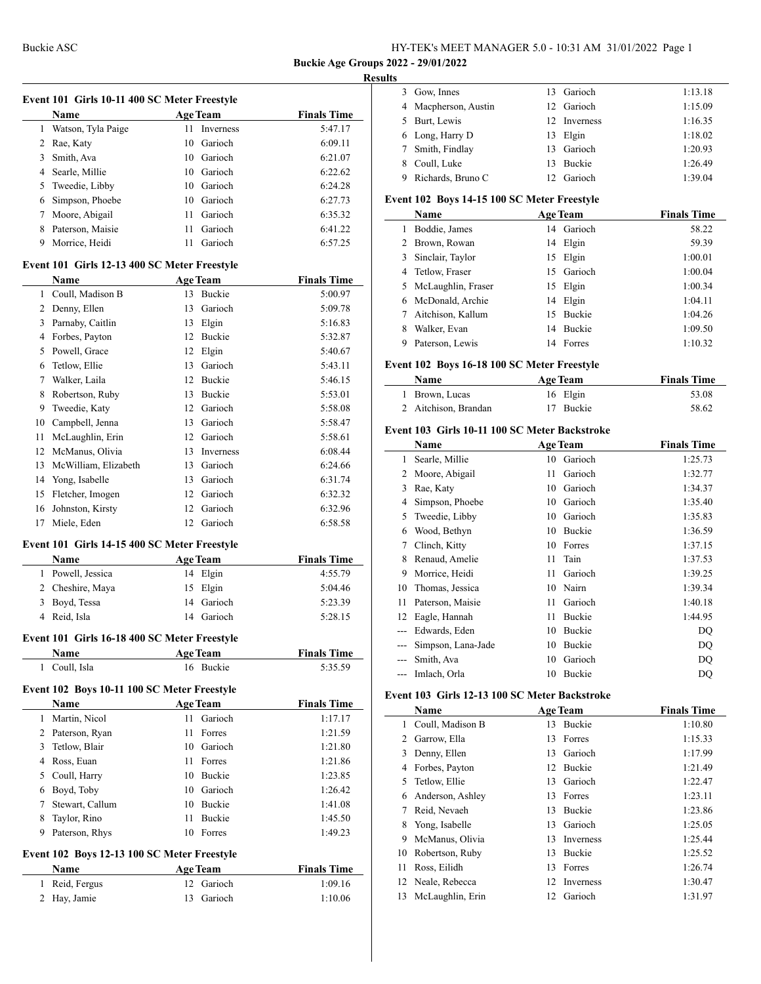Gow, Innes 13 Garioch 1:13.18

# **Buckie Age Groups 2022 - 29/01/2022**

## **Results**

|    | Event 101 Girls 10-11 400 SC Meter Freestyle |                          |                    |
|----|----------------------------------------------|--------------------------|--------------------|
|    | Name                                         | <b>Age Team</b>          | <b>Finals Time</b> |
| 1  | Watson, Tyla Paige                           | 11<br>Inverness          | 5:47.17            |
| 2  | Rae, Katy                                    | 10 Garioch               | 6:09.11            |
|    | 3 Smith, Ava                                 | 10 Garioch               | 6:21.07            |
|    | 4 Searle, Millie                             | 10 Garioch               | 6:22.62            |
| 5  | Tweedie, Libby                               | 10 Garioch               | 6:24.28            |
| 6  | Simpson, Phoebe                              | 10 Garioch               | 6:27.73            |
| 7  | Moore, Abigail                               | Garioch<br>11 -          | 6:35.32            |
| 8  | Paterson, Maisie                             | Garioch<br>11.           | 6:41.22            |
| 9  | Morrice, Heidi                               | Garioch<br>11            | 6:57.25            |
|    | Event 101 Girls 12-13 400 SC Meter Freestyle |                          |                    |
|    | Name                                         | <b>Age Team</b>          | <b>Finals Time</b> |
|    | 1 Coull, Madison B                           | 13 Buckie                | 5:00.97            |
|    | 2 Denny, Ellen                               | 13 Garioch               | 5:09.78            |
|    | 3 Parnaby, Caitlin                           | 13 Elgin                 | 5:16.83            |
|    | 4 Forbes, Payton                             | 12 Buckie                | 5:32.87            |
|    | 5 Powell, Grace                              | 12 Elgin                 | 5:40.67            |
| 6  | Tetlow, Ellie                                | 13 Garioch               | 5:43.11            |
| 7  | Walker, Laila                                | 12 Buckie                | 5:46.15            |
| 8  | Robertson, Ruby                              | 13 Buckie                | 5:53.01            |
| 9  | Tweedie, Katy                                | 12 Garioch               | 5:58.08            |
|    | 10 Campbell, Jenna                           | 13 Garioch               | 5:58.47            |
| 11 |                                              | 12 Garioch               | 5:58.61            |
|    | McLaughlin, Erin                             |                          |                    |
|    | 12 McManus, Olivia                           | 13 Inverness             | 6:08.44            |
|    | 13 McWilliam, Elizabeth                      | 13 Garioch               | 6:24.66            |
|    | 14 Yong, Isabelle                            | 13 Garioch               | 6:31.74            |
|    | 15 Fletcher, Imogen                          | 12 Garioch               | 6:32.32            |
| 16 | Johnston, Kirsty<br>Miele, Eden              | 12 Garioch<br>12 Garioch | 6:32.96<br>6:58.58 |
| 17 |                                              |                          |                    |
|    | Event 101 Girls 14-15 400 SC Meter Freestyle |                          |                    |
|    | Name                                         | <b>Age Team</b>          | <b>Finals Time</b> |
| 1  | Powell, Jessica                              | 14 Elgin                 | 4:55.79            |
|    | 2 Cheshire, Maya                             | 15<br>Elgin              | 5:04.46            |
| 3  | Boyd, Tessa                                  | Garioch<br>14            | 5:23.39            |
|    | 4 Reid, Isla                                 | 14 Garioch               | 5:28.15            |
|    | Event 101 Girls 16-18 400 SC Meter Freestyle |                          |                    |
|    | Name                                         | Age Team                 | <b>Finals Time</b> |
| 1  | Coull, Isla                                  | 16 Buckie                | 5:35.59            |
|    | Event 102 Boys 10-11 100 SC Meter Freestyle  |                          |                    |
|    | Name                                         | <b>Age Team</b>          | <b>Finals Time</b> |
| 1  | Martin, Nicol                                | Garioch<br>11 -          | 1:17.17            |
|    | 2 Paterson, Ryan                             | 11<br>Forres             | 1:21.59            |
|    | 3 Tetlow, Blair                              | 10 Garioch               | 1:21.80            |
|    | 4 Ross, Euan                                 | 11 Forres                | 1:21.86            |
|    | 5 Coull, Harry                               | 10 Buckie                | 1:23.85            |
| 6  | Boyd, Toby                                   | 10 Garioch               | 1:26.42            |
| 7  | Stewart, Callum                              | 10 Buckie                | 1:41.08            |
| 8  | Taylor, Rino                                 | Buckie<br>11             | 1:45.50            |
| 9  | Paterson, Rhys                               | 10<br>Forres             | 1:49.23            |
|    | Event 102 Boys 12-13 100 SC Meter Freestyle  |                          |                    |
|    | Name                                         | <b>Age Team</b>          | <b>Finals Time</b> |
| 1  | Reid, Fergus                                 | Garioch<br>12            | 1:09.16            |
| 2  | Hay, Jamie                                   | Garioch<br>13            | 1:10.06            |
|    |                                              |                          |                    |

| 4              | Macpherson, Austin                            |              | 12 Garioch              | 1:15.09            |
|----------------|-----------------------------------------------|--------------|-------------------------|--------------------|
|                | 5 Burt, Lewis                                 |              | 12 Inverness            | 1:16.35            |
|                | 6 Long, Harry D                               |              | 13 Elgin                | 1:18.02            |
| 7              | Smith, Findlay                                |              | 13 Garioch              | 1:20.93            |
| 8              | Coull, Luke                                   |              | 13 Buckie               | 1:26.49            |
| 9              | Richards, Bruno C                             |              | 12 Garioch              | 1:39.04            |
|                | Event 102 Boys 14-15 100 SC Meter Freestyle   |              |                         |                    |
|                | Name                                          |              | <b>Age Team</b>         | <b>Finals Time</b> |
| 1              | Boddie, James                                 |              | 14 Garioch              | 58.22              |
|                | 2 Brown, Rowan                                |              | 14 Elgin                | 59.39              |
|                | 3 Sinclair, Taylor                            |              | 15 Elgin                | 1:00.01            |
|                | 4 Tetlow, Fraser                              |              | 15 Garioch              | 1:00.04            |
|                | 5 McLaughlin, Fraser                          |              | 15 Elgin                | 1:00.34            |
|                | 6 McDonald, Archie                            |              | 14 Elgin                | 1:04.11            |
| 7              | Aitchison, Kallum                             |              | 15 Buckie               | 1:04.26            |
| 8              | Walker, Evan                                  |              | 14 Buckie               | 1:09.50            |
|                | 9 Paterson, Lewis                             |              | 14 Forres               | 1:10.32            |
|                | Event 102 Boys 16-18 100 SC Meter Freestyle   |              |                         |                    |
|                | Name                                          |              | <b>Age Team</b>         | <b>Finals Time</b> |
| $\mathbf{1}$   | Brown, Lucas                                  | 16           | Elgin                   | 53.08              |
| $\overline{2}$ | Aitchison, Brandan                            | 17           | Buckie                  | 58.62              |
|                |                                               |              |                         |                    |
|                |                                               |              |                         |                    |
|                | Event 103 Girls 10-11 100 SC Meter Backstroke |              |                         |                    |
|                | Name                                          |              | <b>Age Team</b>         | <b>Finals Time</b> |
| $\mathbf{1}$   | Searle, Millie                                | 10           | Garioch                 | 1:25.73            |
|                | 2 Moore, Abigail                              | 11.          | Garioch                 | 1:32.77            |
|                | 3 Rae, Katy                                   |              | 10 Garioch              | 1:34.37            |
|                | 4 Simpson, Phoebe                             |              | 10 Garioch              | 1:35.40            |
| 5              | Tweedie, Libby                                |              | 10 Garioch              | 1:35.83            |
| 6              | Wood, Bethyn                                  |              | 10 Buckie               | 1:36.59            |
| 7              | Clinch, Kitty                                 |              | 10 Forres               | 1:37.15            |
| 8              | Renaud, Amelie                                | 11.          | Tain                    | 1:37.53            |
| 9              | Morrice, Heidi                                | 11 -         | Garioch                 | 1:39.25            |
| 10             | Thomas, Jessica                               |              | 10 Nairn                | 1:39.34            |
| 11<br>12       | Paterson, Maisie                              | 11 -<br>11 - | Garioch<br>Buckie       | 1:40.18            |
| $\overline{a}$ | Eagle, Hannah<br>Edwards, Eden                | 10           | Buckie                  | 1:44.95            |
| ---            |                                               |              | 10 Buckie               | DQ                 |
|                | Simpson, Lana-Jade<br>--- Smith, Ava          |              |                         | DQ                 |
|                | --- Imlach, Orla                              |              | 10 Garioch<br>10 Buckie | DQ<br>DQ           |
|                |                                               |              |                         |                    |
|                | Event 103 Girls 12-13 100 SC Meter Backstroke |              |                         |                    |
|                | Name                                          |              | <b>Age Team</b>         | <b>Finals Time</b> |
|                | 1 Coull, Madison B<br>2 Garrow, Ella          |              | 13 Buckie<br>13 Forres  | 1:10.80<br>1:15.33 |

|    | Coull, Madison B    | 13 | <b>Buckie</b> | 1:10.80 |
|----|---------------------|----|---------------|---------|
| 2  | Garrow, Ella        | 13 | Forres        | 1:15.33 |
| 3  | Denny, Ellen        | 13 | Garioch       | 1:17.99 |
| 4  | Forbes, Payton      | 12 | <b>Buckie</b> | 1:21.49 |
| 5. | Tetlow, Ellie       | 13 | Garioch       | 1:22.47 |
| 6  | Anderson, Ashley    | 13 | Forres        | 1:23.11 |
| 7  | Reid, Nevaeh        | 13 | <b>Buckie</b> | 1:23.86 |
| 8  | Yong, Isabelle      | 13 | Garioch       | 1:25.05 |
| 9  | McManus, Olivia     | 13 | Inverness     | 1:25.44 |
| 10 | Robertson, Ruby     | 13 | <b>Buckie</b> | 1:25.52 |
| 11 | Ross, Eilidh        | 13 | Forres        | 1:26.74 |
|    | 12 Neale, Rebecca   | 12 | Inverness     | 1:30.47 |
|    | 13 McLaughlin, Erin | 12 | Garioch       | 1:31.97 |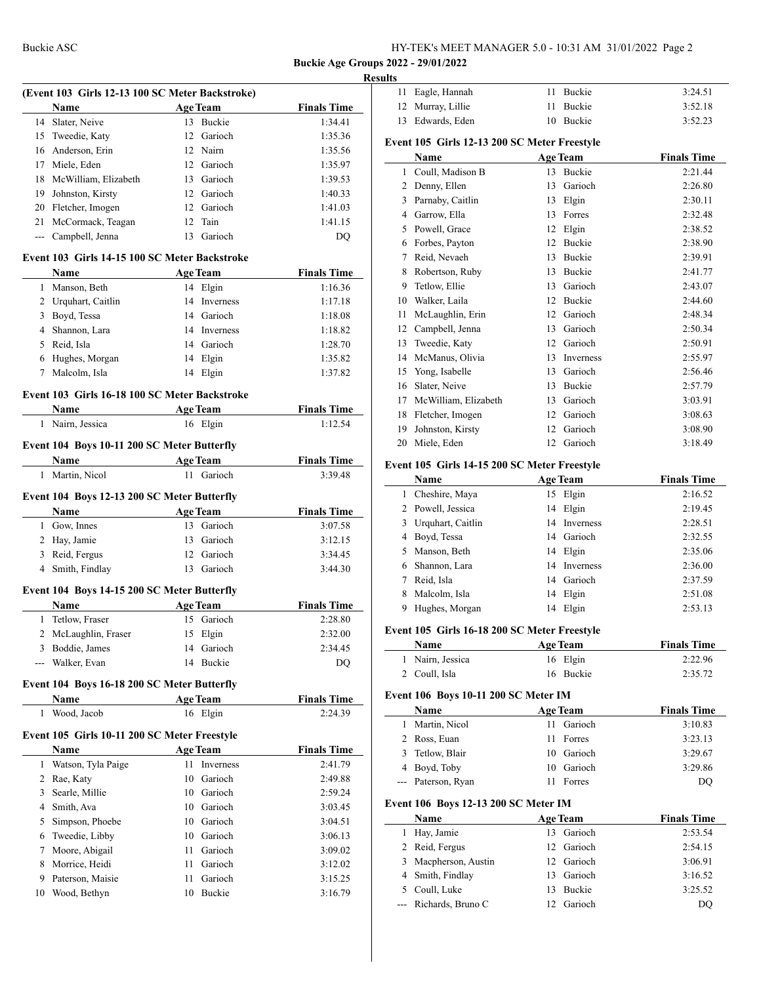$\frac{1}{2}$ 

#### **Results**

|              | (Event 103 Girls 12-13 100 SC Meter Backstroke) |      |                 |                    |
|--------------|-------------------------------------------------|------|-----------------|--------------------|
|              | Name                                            |      | <b>Age Team</b> | <b>Finals Time</b> |
| 14           | Slater, Neive                                   | 13   | Buckie          | 1:34.41            |
|              | 15 Tweedie, Katy                                | 12   | Garioch         | 1:35.36            |
|              | 16 Anderson, Erin                               |      | 12 Nairn        | 1:35.56            |
|              | 17 Miele, Eden                                  |      | 12 Garioch      | 1:35.97            |
|              | 18 McWilliam, Elizabeth                         |      | 13 Garioch      | 1:39.53            |
|              | 19 Johnston, Kirsty                             |      | 12 Garioch      | 1:40.33            |
|              | 20 Fletcher, Imogen                             |      | 12 Garioch      | 1:41.03            |
|              | 21 McCormack, Teagan                            |      | 12 Tain         | 1:41.15            |
|              | --- Campbell, Jenna                             |      | 13 Garioch      | DQ                 |
|              | Event 103 Girls 14-15 100 SC Meter Backstroke   |      |                 |                    |
|              | Name                                            |      | <b>Age Team</b> | <b>Finals Time</b> |
|              | 1 Manson, Beth                                  |      | 14 Elgin        | 1:16.36            |
|              | 2 Urquhart, Caitlin                             |      | 14 Inverness    | 1:17.18            |
|              | 3 Boyd, Tessa                                   |      | 14 Garioch      | 1:18.08            |
|              | 4 Shannon, Lara                                 |      | 14 Inverness    | 1:18.82            |
|              | 5 Reid, Isla                                    |      | 14 Garioch      | 1:28.70            |
| 6            | Hughes, Morgan                                  |      | 14 Elgin        | 1:35.82            |
| 7            | Malcolm, Isla                                   |      | 14 Elgin        | 1:37.82            |
|              | Event 103 Girls 16-18 100 SC Meter Backstroke   |      |                 |                    |
|              | Name                                            |      | <b>Age Team</b> | <b>Finals Time</b> |
| 1            | Nairn, Jessica                                  |      | 16 Elgin        | 1:12.54            |
|              |                                                 |      |                 |                    |
|              | Event 104 Boys 10-11 200 SC Meter Butterfly     |      |                 |                    |
|              | Name                                            |      | <b>Age Team</b> | <b>Finals Time</b> |
| 1            | Martin, Nicol                                   |      | 11 Garioch      | 3:39.48            |
|              | Event 104 Boys 12-13 200 SC Meter Butterfly     |      |                 |                    |
|              | Name                                            |      | <b>Age Team</b> | <b>Finals Time</b> |
|              | 1 Gow, Innes                                    |      | 13 Garioch      | 3:07.58            |
|              | 2 Hay, Jamie                                    |      | 13 Garioch      | 3:12.15            |
|              | 3 Reid, Fergus                                  |      | 12 Garioch      | 3:34.45            |
| 4            | Smith, Findlay                                  |      | 13 Garioch      | 3:44.30            |
|              |                                                 |      |                 |                    |
|              | Event 104 Boys 14-15 200 SC Meter Butterfly     |      |                 |                    |
|              | Name                                            |      | <b>Age Team</b> | <b>Finals Time</b> |
| $\mathbf{1}$ | Tetlow, Fraser                                  |      | 15 Garioch      | 2:28.80            |
| 2            | McLaughlin, Fraser                              |      | 15 Elgin        | 2:32.00            |
|              | 3 Boddie, James                                 |      | 14 Garioch      | 2:34.45            |
|              | --- Walker, Evan                                |      | 14 Buckie       | DQ                 |
|              | Event 104 Boys 16-18 200 SC Meter Butterfly     |      |                 |                    |
|              | Name                                            |      | <b>Age Team</b> | <b>Finals Time</b> |
| 1            | Wood, Jacob                                     |      | 16 Elgin        | 2:24.39            |
|              | Event 105 Girls 10-11 200 SC Meter Freestyle    |      |                 |                    |
|              | Name                                            |      | <b>Age Team</b> | <b>Finals Time</b> |
|              | 1 Watson, Tyla Paige                            | 11   | Inverness       | 2:41.79            |
|              | 2 Rae, Katy                                     |      | 10 Garioch      | 2:49.88            |
| 3            | Searle, Millie                                  |      | 10 Garioch      | 2:59.24            |
|              | 4 Smith, Ava                                    |      | 10 Garioch      | 3:03.45            |
| 5            | Simpson, Phoebe                                 |      | 10 Garioch      | 3:04.51            |
| 6            | Tweedie, Libby                                  |      | 10 Garioch      | 3:06.13            |
|              |                                                 |      |                 |                    |
| 7            | Moore, Abigail                                  | 11 - | Garioch         | 3:09.02            |
|              | 8 Morrice, Heidi                                | 11 - | Garioch         | 3:12.02            |
| 9            | Paterson, Maisie                                | 11   | Garioch         | 3:15.25            |
| 10           | Wood, Bethyn                                    | 10   | Buckie          | 3:16.79            |
|              |                                                 |      |                 |                    |

| 11           | Eagle, Hannah                                | 11 | Buckie          | 3:24.51            |
|--------------|----------------------------------------------|----|-----------------|--------------------|
| 12           | Murray, Lillie                               | 11 | Buckie          | 3:52.18            |
| 13           | Edwards, Eden                                | 10 | Buckie          | 3:52.23            |
|              | Event 105 Girls 12-13 200 SC Meter Freestyle |    |                 |                    |
|              | Name                                         |    | <b>Age Team</b> | <b>Finals Time</b> |
| $\mathbf{1}$ | Coull, Madison B                             | 13 | <b>Buckie</b>   | 2:21.44            |
| 2            | Denny, Ellen                                 | 13 | Garioch         | 2:26.80            |
| 3            | Parnaby, Caitlin                             | 13 | Elgin           | 2:30.11            |
| 4            | Garrow, Ella                                 | 13 | Forres          | 2:32.48            |
| 5            | Powell, Grace                                | 12 | Elgin           | 2:38.52            |
| 6            | Forbes, Payton                               | 12 | Buckie          | 2:38.90            |
| 7            | Reid, Nevaeh                                 | 13 | Buckie          | 2:39.91            |
| 8            | Robertson, Ruby                              | 13 | <b>Buckie</b>   | 2:41.77            |
| 9            | Tetlow, Ellie                                | 13 | Garioch         | 2:43.07            |
| 10           | Walker, Laila                                | 12 | Buckie          | 2:44.60            |
| 11           | McLaughlin, Erin                             | 12 | Garioch         | 2:48.34            |
| 12           | Campbell, Jenna                              | 13 | Garioch         | 2:50.34            |
| 13           | Tweedie, Katy                                | 12 | Garioch         | 2:50.91            |
| 14           | McManus, Olivia                              | 13 | Inverness       | 2:55.97            |
| 15           | Yong, Isabelle                               | 13 | Garioch         | 2:56.46            |
| 16           | Slater, Neive                                | 13 | Buckie          | 2:57.79            |
| 17           | McWilliam, Elizabeth                         | 13 | Garioch         | 3:03.91            |
| 18           | Fletcher, Imogen                             | 12 | Garioch         | 3:08.63            |
| 19           | Johnston, Kirsty                             | 12 | Garioch         | 3:08.90            |
| 20           | Miele, Eden                                  | 12 | Garioch         | 3:18.49            |

## **Event 105 Girls 14-15 200 SC Meter Freestyle**

|   | Name              |    | <b>Age Team</b> | <b>Finals Time</b> |
|---|-------------------|----|-----------------|--------------------|
| 1 | Cheshire, Maya    | 15 | Elgin           | 2:16.52            |
| 2 | Powell, Jessica   | 14 | Elgin           | 2:19.45            |
| 3 | Urquhart, Caitlin | 14 | Inverness       | 2:28.51            |
| 4 | Boyd, Tessa       | 14 | Garioch         | 2:32.55            |
|   | Manson, Beth      | 14 | Elgin           | 2:35.06            |
| 6 | Shannon, Lara     |    | 14 Inverness    | 2:36.00            |
|   | Reid, Isla        | 14 | Garioch         | 2:37.59            |
| 8 | Malcolm, Isla     | 14 | Elgin           | 2:51.08            |
| 9 | Hughes, Morgan    | 14 | Elgin           | 2:53.13            |
|   |                   |    |                 |                    |

## **Event 105 Girls 16-18 200 SC Meter Freestyle**

| Name             | <b>Age Team</b> | <b>Finals Time</b> |  |
|------------------|-----------------|--------------------|--|
| 1 Nairn, Jessica | 16 Elgin        | 2:22.96            |  |
| 2 Coull, Isla    | 16 Buckie       | 2:35.72            |  |

# **Event 106 Boys 10-11 200 SC Meter IM**

|       | Name                                        | <b>Age Team</b> |               | <b>Finals Time</b> |
|-------|---------------------------------------------|-----------------|---------------|--------------------|
| 1     | Martin, Nicol                               | 11              | Garioch       | 3:10.83            |
| 2     | Ross, Euan                                  | 11              | Forres        | 3:23.13            |
| 3.    | Tetlow, Blair                               | 10              | Garioch       | 3:29.67            |
| 4     | Boyd, Toby                                  | 10              | Garioch       | 3:29.86            |
| $---$ | Paterson, Ryan                              | 11              | Forres        | DQ                 |
|       | <b>Event 106 Boys 12-13 200 SC Meter IM</b> |                 |               |                    |
|       | Name                                        | <b>Age Team</b> |               | <b>Finals Time</b> |
|       | Hay, Jamie                                  | 13              | Garioch       | 2:53.54            |
| 2     | Reid, Fergus                                | 12              | Garioch       | 2:54.15            |
| 3     | Macpherson, Austin                          | 12              | Garioch       | 3:06.91            |
| 4     | Smith, Findlay                              | 13              | Garioch       | 3:16.52            |
| 5.    | Coull, Luke                                 | 13              | <b>Buckie</b> | 3:25.52            |
|       | Richards, Bruno C                           | 12              | Garioch       | DO                 |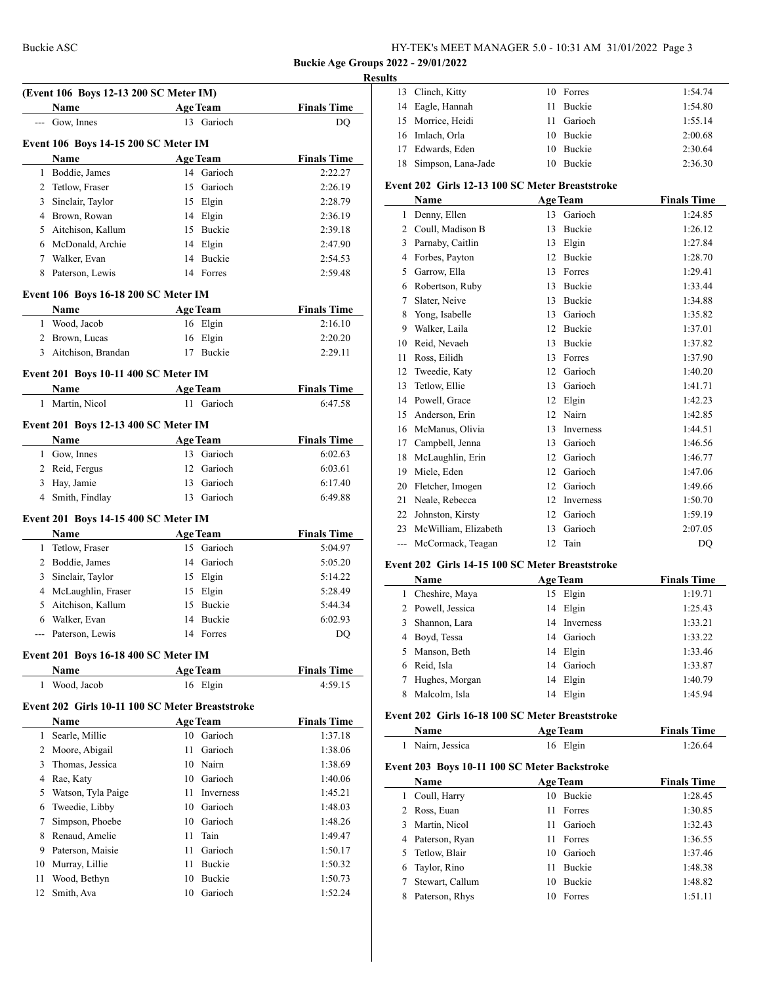## Buckie ASC HY-TEK's MEET MANAGER 5.0 - 10:31 AM 31/01/2022 Page 3

**Buckie Age Groups 2022 - 29/01/2022**

 $\overline{a}$ 

## **Results**

| (Event 106 Boys 12-13 200 SC Meter IM) |                                                 |    |                 |                    |
|----------------------------------------|-------------------------------------------------|----|-----------------|--------------------|
|                                        | <b>Name</b>                                     |    | Age Team        | <b>Finals Time</b> |
|                                        | --- Gow, Innes                                  |    | 13 Garioch      | DQ                 |
|                                        |                                                 |    |                 |                    |
|                                        | Event 106 Boys 14-15 200 SC Meter IM            |    |                 |                    |
|                                        | Name                                            |    | <b>Age Team</b> | <b>Finals Time</b> |
|                                        | 1 Boddie, James                                 |    | 14 Garioch      | 2:22.27            |
|                                        | 2 Tetlow, Fraser                                |    | 15 Garioch      | 2:26.19            |
|                                        | 3 Sinclair, Taylor                              |    | 15 Elgin        | 2:28.79            |
|                                        | 4 Brown, Rowan                                  |    | 14 Elgin        | 2:36.19            |
|                                        | 5 Aitchison, Kallum                             |    | 15 Buckie       | 2:39.18            |
|                                        | 6 McDonald, Archie                              |    | 14 Elgin        | 2:47.90            |
|                                        | 7 Walker, Evan                                  |    | 14 Buckie       | 2:54.53            |
| 8                                      | Paterson, Lewis                                 |    | 14 Forres       | 2:59.48            |
|                                        | <b>Event 106 Boys 16-18 200 SC Meter IM</b>     |    |                 |                    |
|                                        | Name                                            |    | <b>Age Team</b> | <b>Finals Time</b> |
|                                        | 1 Wood, Jacob                                   |    | 16 Elgin        | 2:16.10            |
|                                        | 2 Brown, Lucas                                  |    | 16 Elgin        | 2:20.20            |
|                                        | 3 Aitchison, Brandan                            |    | 17 Buckie       | 2:29.11            |
|                                        |                                                 |    |                 |                    |
|                                        | Event 201 Boys 10-11 400 SC Meter IM            |    |                 |                    |
|                                        | Name                                            |    | <b>Age Team</b> | <b>Finals Time</b> |
| 1                                      | Martin, Nicol                                   |    | 11 Garioch      | 6:47.58            |
|                                        | Event 201 Boys 12-13 400 SC Meter IM            |    |                 |                    |
|                                        | Name                                            |    | <b>Age Team</b> | <b>Finals Time</b> |
|                                        | 1 Gow, Innes                                    |    | 13 Garioch      | 6:02.63            |
|                                        | 2 Reid, Fergus                                  |    | 12 Garioch      | 6:03.61            |
|                                        | 3 Hay, Jamie                                    |    | 13 Garioch      | 6:17.40            |
| 4                                      | Smith, Findlay                                  | 13 | Garioch         | 6:49.88            |
|                                        | <b>Event 201 Boys 14-15 400 SC Meter IM</b>     |    |                 |                    |
|                                        | Name                                            |    | <b>Age Team</b> | <b>Finals Time</b> |
| $\mathbf{1}$                           | Tetlow, Fraser                                  |    | 15 Garioch      | 5:04.97            |
|                                        | 2 Boddie, James                                 |    | 14 Garioch      | 5:05.20            |
|                                        | 3 Sinclair, Taylor                              |    | 15 Elgin        | 5:14.22            |
|                                        | 4 McLaughlin, Fraser                            |    | 15 Elgin        | 5:28.49            |
| 5                                      | Aitchison, Kallum                               |    | 15 Buckie       |                    |
|                                        | 6 Walker, Evan                                  |    | 14 Buckie       | 5:44.34<br>6:02.93 |
|                                        |                                                 |    |                 |                    |
|                                        | --- Paterson, Lewis                             |    | 14 Forres       | DQ                 |
|                                        | <b>Event 201 Boys 16-18 400 SC Meter IM</b>     |    |                 |                    |
|                                        | Name                                            |    | <b>Age Team</b> | <b>Finals Time</b> |
|                                        | 1 Wood, Jacob                                   |    | 16 Elgin        | 4:59.15            |
|                                        | Event 202 Girls 10-11 100 SC Meter Breaststroke |    |                 |                    |
|                                        | Name                                            |    | <b>Age Team</b> | <b>Finals Time</b> |
| $\mathbf{1}$                           | Searle, Millie                                  |    | 10 Garioch      | 1:37.18            |
|                                        | 2 Moore, Abigail                                | 11 | Garioch         | 1:38.06            |
|                                        | 3 Thomas, Jessica                               |    | 10 Nairn        | 1:38.69            |
|                                        | 4 Rae, Katy                                     |    | 10 Garioch      | 1:40.06            |
| 5                                      | Watson, Tyla Paige                              |    | 11 Inverness    | 1:45.21            |
| 6                                      | Tweedie, Libby                                  |    | 10 Garioch      | 1:48.03            |
| 7                                      | Simpson, Phoebe                                 |    | 10 Garioch      | 1:48.26            |
|                                        | 8 Renaud, Amelie                                |    | 11 Tain         | 1:49.47            |
|                                        | 9 Paterson, Maisie                              |    | 11 Garioch      | 1:50.17            |
|                                        | 10 Murray, Lillie                               |    | 11 Buckie       | 1:50.32            |
| 11                                     | Wood, Bethyn                                    |    | 10 Buckie       | 1:50.73            |
| 12                                     | Smith, Ava                                      | 10 | Garioch         | 1:52.24            |
|                                        |                                                 |    |                 |                    |

| 13             | Clinch, Kitty                                   | 10 | Forres               | 1:54.74            |
|----------------|-------------------------------------------------|----|----------------------|--------------------|
| 14             | Eagle, Hannah                                   | 11 | Buckie               | 1:54.80            |
| 15             | Morrice, Heidi                                  | 11 | Garioch              | 1:55.14            |
| 16             | Imlach, Orla                                    | 10 | <b>Buckie</b>        | 2:00.68            |
| 17             | Edwards, Eden                                   | 10 | Buckie               | 2:30.64            |
| 18             | Simpson, Lana-Jade                              |    | 10 Buckie            | 2:36.30            |
|                | Event 202 Girls 12-13 100 SC Meter Breaststroke |    |                      |                    |
|                | Name                                            |    | <b>Age Team</b>      | <b>Finals Time</b> |
| $\mathbf{1}$   | Denny, Ellen                                    |    | 13 Garioch           | 1:24.85            |
| $\overline{c}$ | Coull, Madison B                                | 13 | Buckie               | 1:26.12            |
| 3              | Parnaby, Caitlin                                | 13 | Elgin                | 1:27.84            |
| $\overline{4}$ | Forbes, Payton                                  | 12 | <b>Buckie</b>        | 1:28.70            |
| 5              | Garrow, Ella                                    |    | 13 Forres            | 1:29.41            |
| 6              | Robertson, Ruby                                 | 13 | Buckie               | 1:33.44            |
| 7              | Slater, Neive                                   | 13 | <b>Buckie</b>        | 1:34.88            |
| 8              | Yong, Isabelle                                  | 13 | Garioch              | 1:35.82            |
| 9              | Walker, Laila                                   | 12 | Buckie               | 1:37.01            |
| 10             | Reid, Nevaeh                                    | 13 | Buckie               | 1:37.82            |
| 11             | Ross, Eilidh                                    | 13 | Forres               | 1:37.90            |
| 12             | Tweedie, Katy                                   | 12 | Garioch              | 1:40.20            |
| 13             | Tetlow, Ellie                                   | 13 | Garioch              | 1:41.71            |
| 14             | Powell, Grace                                   | 12 | Elgin                | 1:42.23            |
| 15             | Anderson, Erin                                  | 12 | Nairn                | 1:42.85            |
| 16             | McManus, Olivia                                 | 13 | Inverness            | 1:44.51            |
| 17             | Campbell, Jenna                                 | 13 | Garioch              | 1:46.56            |
| 18             | McLaughlin, Erin                                | 12 | Garioch              | 1:46.77            |
| 19             | Miele, Eden                                     | 12 | Garioch              | 1:47.06            |
| 20             | Fletcher, Imogen                                | 12 | Garioch              | 1:49.66            |
| 21             | Neale, Rebecca                                  | 12 | Inverness            | 1:50.70            |
| 22             | Johnston, Kirsty                                | 12 | Garioch              | 1:59.19            |
| 23             | McWilliam, Elizabeth                            | 13 | Garioch              | 2:07.05            |
| ---            | McCormack, Teagan                               | 12 | Tain                 | DO                 |
|                | 202.011.1117.000011.000                         |    | $\sim$ $\sim$ $\sim$ |                    |

## **Event 202 Girls 14-15 100 SC Meter Breaststroke**

|    | Name              |    | <b>Age Team</b> | <b>Finals Time</b> |
|----|-------------------|----|-----------------|--------------------|
|    | 1 Cheshire, Maya  | 15 | Elgin           | 1:19.71            |
|    | 2 Powell, Jessica |    | 14 Elgin        | 1:25.43            |
| 3  | Shannon, Lara     |    | 14 Inverness    | 1:33.21            |
| 4  | Boyd, Tessa       |    | 14 Garioch      | 1:33.22            |
| 5. | Manson, Beth      | 14 | Elgin           | 1:33.46            |
| 6  | Reid, Isla        |    | 14 Garioch      | 1:33.87            |
|    | Hughes, Morgan    | 14 | Elgin           | 1:40.79            |
|    | Malcolm, Isla     | 14 | Elgin           | 1:45.94            |
|    |                   |    |                 |                    |

## **Event 202 Girls 16-18 100 SC Meter Breaststroke**

| <b>Name</b>      | <b>Age Team</b> | <b>Finals Time</b> |
|------------------|-----------------|--------------------|
| 1 Nairn, Jessica | 16 Elgin        | 1:26.64            |

# **Event 203 Boys 10-11 100 SC Meter Backstroke**

|   | Name             |    | <b>Age Team</b> | <b>Finals Time</b> |
|---|------------------|----|-----------------|--------------------|
| L | Coull, Harry     | 10 | <b>Buckie</b>   | 1:28.45            |
|   | 2 Ross, Euan     | 11 | Forres          | 1:30.85            |
| 3 | Martin, Nicol    | 11 | Garioch         | 1:32.43            |
|   | 4 Paterson, Ryan | 11 | Forres          | 1:36.55            |
|   | 5 Tetlow, Blair  | 10 | Garioch         | 1:37.46            |
|   | 6 Taylor, Rino   | 11 | Buckie          | 1:48.38            |
|   | Stewart, Callum  | 10 | <b>Buckie</b>   | 1:48.82            |
| 8 | Paterson, Rhys   | 10 | Forres          | 1:51.11            |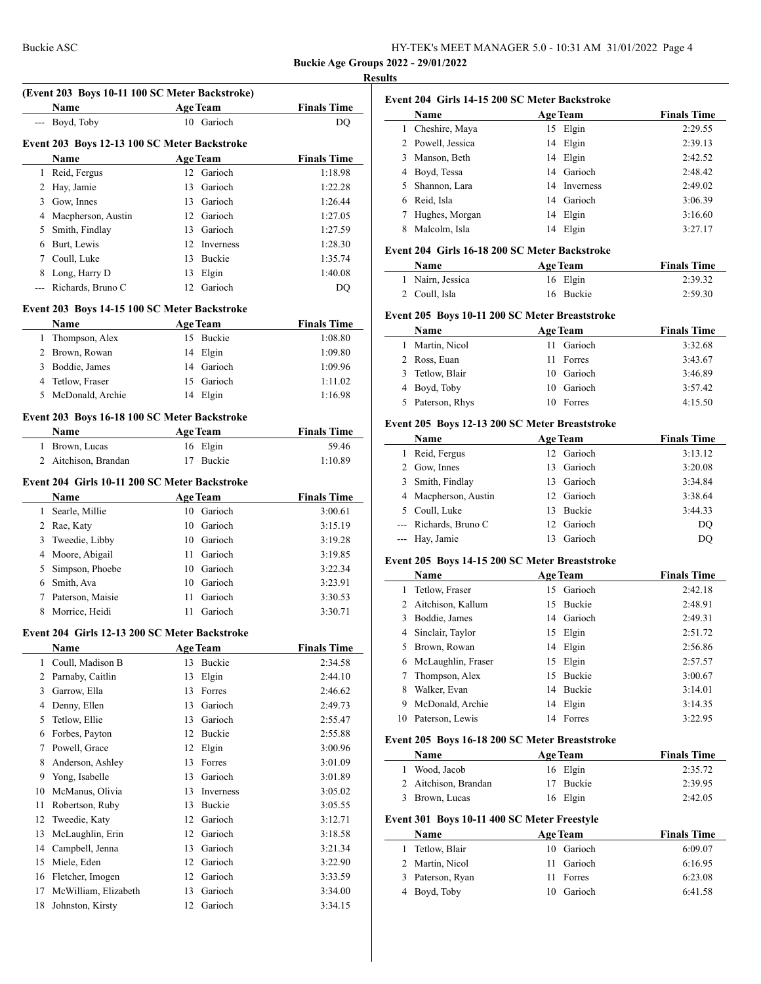# **Results (Event 203 Boys 10-11 100 SC Meter Backstroke) Name Age Team Finals Time** --- Boyd, Toby 10 Garioch DQ **Event 203 Boys 12-13 100 SC Meter Backstroke Name Age Team Finals Time**  Reid, Fergus 12 Garioch 1:18.98 Hay, Jamie 13 Garioch 1:22.28 Gow, Innes 13 Garioch 1:26.44 Macpherson, Austin 12 Garioch 1:27.05 Smith, Findlay 13 Garioch 1:27.59 Burt, Lewis 12 Inverness 1:28.30 Coull, Luke 13 Buckie 1:35.74  $\overline{a}$  Long, Harry D 13 Elgin 1:40.08 Richards, Bruno C 12 Garioch DQ **Event 203 Boys 14-15 100 SC Meter Backstroke Name Age Team Finals Time**  Thompson, Alex 15 Buckie 1:08.80  $\sim$ 2 Brown, Rowan 14 Elgin 1:09.80 Boddie, James 14 Garioch 1:09.96 4 Tetlow, Fraser 15 Garioch 1:11.02 McDonald, Archie 14 Elgin 1:16.98 **Event 203 Boys 16-18 100 SC Meter Backstroke Name Age Team Finals Time**  Brown, Lucas 16 Elgin 59.46 2 Aitchison, Brandan 17 Buckie 1:10.89 **Event 204 Girls 10-11 200 SC Meter Backstroke Name Age Team Finals Time**  Searle, Millie 10 Garioch 3:00.61 Rae, Katy 10 Garioch 3:15.19 Tweedie, Libby 10 Garioch 3:19.28 Moore, Abigail 11 Garioch 3:19.85 Simpson, Phoebe 10 Garioch 3:22.34 Smith, Ava 10 Garioch 3:23.91 Paterson, Maisie 11 Garioch 3:30.53 8 Morrice, Heidi 11 Garioch 3:30.71 **Event 204 Girls 12-13 200 SC Meter Backstroke Name Age Team Finals Time**  Coull, Madison B 13 Buckie 2:34.58 Parnaby, Caitlin 13 Elgin 2:44.10 Garrow, Ella 13 Forres 2:46.62 Denny, Ellen 13 Garioch 2:49.73 Tetlow, Ellie 13 Garioch 2:55.47 Forbes, Payton 12 Buckie 2:55.88 Powell, Grace 12 Elgin 3:00.96 Anderson, Ashley 13 Forres 3:01.09 Yong, Isabelle 13 Garioch 3:01.89 McManus, Olivia 13 Inverness 3:05.02 Robertson, Ruby 13 Buckie 3:05.55 Tweedie, Katy 12 Garioch 3:12.71 McLaughlin, Erin 12 Garioch 3:18.58 Campbell, Jenna 13 Garioch 3:21.34 Miele, Eden 12 Garioch 3:22.90 Fletcher, Imogen 12 Garioch 3:33.59 McWilliam, Elizabeth 13 Garioch 3:34.00 Johnston, Kirsty 12 Garioch 3:34.15

| Event 204 Girls 14-15 200 SC Meter Backstroke |                   |    |                  |                    |  |  |
|-----------------------------------------------|-------------------|----|------------------|--------------------|--|--|
|                                               | Name              |    | <b>Age Team</b>  | <b>Finals Time</b> |  |  |
|                                               | Cheshire, Maya    | 15 | Elgin            | 2:29.55            |  |  |
|                                               | 2 Powell, Jessica |    | 14 Elgin         | 2:39.13            |  |  |
| 3                                             | Manson, Beth      |    | 14 Elgin         | 2:42.52            |  |  |
| 4                                             | Boyd, Tessa       |    | 14 Garioch       | 2:48.42            |  |  |
| 5.                                            | Shannon, Lara     | 14 | <b>Inverness</b> | 2:49.02            |  |  |
| 6                                             | Reid, Isla        | 14 | Garioch          | 3:06.39            |  |  |
|                                               | Hughes, Morgan    | 14 | Elgin            | 3:16.60            |  |  |
| 8                                             | Malcolm, Isla     | 14 | Elgin            | 3:27.17            |  |  |

#### **Event 204 Girls 16-18 200 SC Meter Backstroke**

| Name             | <b>Age Team</b> | <b>Finals Time</b> |  |
|------------------|-----------------|--------------------|--|
| 1 Nairn, Jessica | 16 Elgin        | 2:39.32            |  |
| 2 Coull, Isla    | 16 Buckie       | 2:59.30            |  |

#### **Event 205 Boys 10-11 200 SC Meter Breaststroke**

| <b>Name</b>      | <b>Age Team</b> | <b>Finals Time</b> |
|------------------|-----------------|--------------------|
| Martin, Nicol    | Garioch<br>11   | 3:32.68            |
| 2 Ross, Euan     | 11 Forres       | 3:43.67            |
| 3 Tetlow, Blair  | 10 Garioch      | 3:46.89            |
| 4 Boyd, Toby     | 10 Garioch      | 3:57.42            |
| 5 Paterson, Rhys | 10 Forres       | 4:15.50            |

## **Event 205 Boys 12-13 200 SC Meter Breaststroke**

| Name                  | <b>Age Team</b> | <b>Finals Time</b> |
|-----------------------|-----------------|--------------------|
| Reid, Fergus          | 12 Garioch      | 3:13.12            |
| 2 Gow, Innes          | 13 Garioch      | 3:20.08            |
| Smith, Findlay        | 13 Garioch      | 3:34.84            |
| 4 Macpherson, Austin  | 12 Garioch      | 3:38.64            |
| 5 Coull, Luke         | 13 Buckie       | 3:44.33            |
| --- Richards, Bruno C | 12 Garioch      | DO                 |
| --- Hay, Jamie        | Garioch<br>13.  | DO                 |
|                       |                 |                    |

#### **Event 205 Boys 14-15 200 SC Meter Breaststroke**

|    | Name                |    | <b>Age Team</b> | <b>Finals Time</b> |
|----|---------------------|----|-----------------|--------------------|
|    | Tetlow, Fraser      |    | 15 Garioch      | 2:42.18            |
|    | 2 Aitchison, Kallum | 15 | <b>Buckie</b>   | 2:48.91            |
|    | Boddie, James       |    | 14 Garioch      | 2:49.31            |
| 4  | Sinclair, Taylor    | 15 | Elgin           | 2:51.72            |
|    | Brown, Rowan        | 14 | Elgin           | 2:56.86            |
| 6  | McLaughlin, Fraser  | 15 | Elgin           | 2:57.57            |
|    | Thompson, Alex      | 15 | <b>Buckie</b>   | 3:00.67            |
| 8  | Walker, Evan        | 14 | Buckie          | 3:14.01            |
| 9  | McDonald, Archie    | 14 | Elgin           | 3:14.35            |
| 10 | Paterson, Lewis     | 14 | Forres          | 3:22.95            |

#### **Event 205 Boys 16-18 200 SC Meter Breaststroke**

| <b>Name</b>          | <b>Age Team</b> | <b>Finals Time</b> |
|----------------------|-----------------|--------------------|
| 1 Wood, Jacob        | 16 Elgin        | 2:35.72            |
| 2 Aitchison, Brandan | 17 Buckie       | 2:39.95            |
| 3 Brown, Lucas       | 16 Elgin        | 2:42.05            |

## **Event 301 Boys 10-11 400 SC Meter Freestyle**

| <b>Name</b>      | <b>Age Team</b> | <b>Finals Time</b> |
|------------------|-----------------|--------------------|
| 1 Tetlow, Blair  | 10 Garioch      | 6:09.07            |
| 2 Martin, Nicol  | 11 Garioch      | 6:16.95            |
| 3 Paterson, Ryan | Forres<br>11.   | 6:23.08            |
| 4 Boyd, Toby     | 10 Garioch      | 6:41.58            |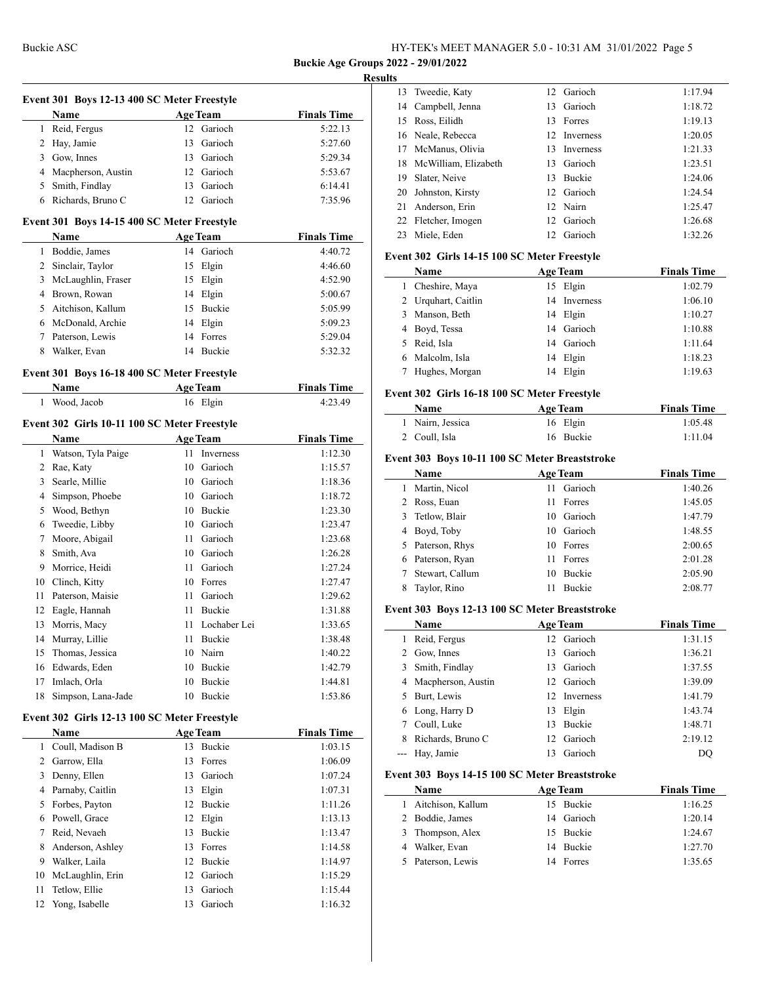$\mathbf{I}$ 

#### **Results**

|        | Event 301 Boys 12-13 400 SC Meter Freestyle         |    |                 |                    |
|--------|-----------------------------------------------------|----|-----------------|--------------------|
|        | <b>Name</b>                                         |    | <b>Age Team</b> | <b>Finals Time</b> |
|        | 1 Reid, Fergus                                      |    | 12 Garioch      | 5:22.13            |
|        | 2 Hay, Jamie                                        | 13 | Garioch         | 5:27.60            |
|        | 3 Gow, Innes                                        |    | 13 Garioch      | 5:29.34            |
|        | 4 Macpherson, Austin                                |    | 12 Garioch      | 5:53.67            |
|        | 5 Smith, Findlay                                    |    | 13 Garioch      | 6:14.41            |
|        | 6 Richards, Bruno C                                 |    | 12 Garioch      | 7:35.96            |
|        | Event 301 Boys 14-15 400 SC Meter Freestyle         |    |                 |                    |
|        | Name                                                |    | <b>Age Team</b> | <b>Finals Time</b> |
|        | 1 Boddie, James                                     |    | 14 Garioch      | 4:40.72            |
|        | 2 Sinclair, Taylor                                  |    | 15 Elgin        | 4:46.60            |
|        | 3 McLaughlin, Fraser                                |    | 15 Elgin        | 4:52.90            |
|        | 4 Brown, Rowan                                      |    | 14 Elgin        | 5:00.67            |
|        | 5 Aitchison, Kallum                                 |    | 15 Buckie       | 5:05.99            |
|        | 6 McDonald, Archie                                  |    | 14 Elgin        | 5:09.23            |
|        | 7 Paterson, Lewis                                   | 14 | Forres          | 5:29.04            |
| 8      | Walker, Evan                                        |    | 14 Buckie       | 5:32.32            |
|        |                                                     |    |                 |                    |
|        | Event 301 Boys 16-18 400 SC Meter Freestyle<br>Name |    | <b>Age Team</b> | <b>Finals Time</b> |
|        | 1 Wood, Jacob                                       |    |                 | 4:23.49            |
|        |                                                     |    | 16 Elgin        |                    |
|        | Event 302 Girls 10-11 100 SC Meter Freestyle        |    |                 |                    |
|        | <b>Name</b>                                         |    | <b>Age Team</b> | <b>Finals Time</b> |
|        | 1 Watson, Tyla Paige                                | 11 | Inverness       | 1:12.30            |
|        | 2 Rae, Katy                                         |    | 10 Garioch      | 1:15.57            |
|        | 3 Searle, Millie                                    |    | 10 Garioch      | 1:18.36            |
|        | 4 Simpson, Phoebe                                   |    | 10 Garioch      | 1:18.72            |
|        | 5 Wood, Bethyn                                      |    | 10 Buckie       | 1:23.30            |
|        | 6 Tweedie, Libby                                    |    | 10 Garioch      | 1:23.47            |
|        | 7 Moore, Abigail                                    |    | 11 Garioch      | 1:23.68            |
| 8      | Smith, Ava                                          |    | 10 Garioch      | 1:26.28            |
|        | 9 Morrice, Heidi                                    |    | 11 Garioch      | 1:27.24            |
|        | 10 Clinch, Kitty                                    |    | 10 Forres       | 1:27.47            |
|        | 11 Paterson, Maisie                                 |    | 11 Garioch      | 1:29.62            |
|        | 12 Eagle, Hannah                                    |    | 11 Buckie       | 1:31.88            |
|        | 13 Morris, Macy                                     |    | 11 Lochaber Lei | 1:33.65            |
|        | 14 Murray, Lillie                                   | 11 | Buckie          | 1:38.48            |
| 15     | Thomas, Jessica                                     | 10 | Nairn           | 1:40.22            |
|        | 16 Edwards, Eden                                    | 10 | Buckie          | 1:42.79            |
|        | 17 Imlach, Orla                                     | 10 | Buckie          | 1:44.81            |
| 18     | Simpson, Lana-Jade                                  |    | 10 Buckie       | 1:53.86            |
|        |                                                     |    |                 |                    |
|        | Event 302 Girls 12-13 100 SC Meter Freestyle        |    |                 |                    |
|        | <b>Name</b>                                         |    | <b>Age Team</b> | <b>Finals Time</b> |
|        | 1 Coull, Madison B                                  | 13 | Buckie          | 1:03.15            |
|        | 2 Garrow, Ella                                      | 13 | Forres          | 1:06.09            |
|        | 3 Denny, Ellen                                      | 13 | Garioch         | 1:07.24            |
|        | 4 Parnaby, Caitlin                                  | 13 | Elgin           | 1:07.31            |
|        | 5 Forbes, Payton                                    |    | 12 Buckie       | 1:11.26            |
|        | 6 Powell, Grace                                     |    | 12 Elgin        | 1:13.13            |
| $\tau$ | Reid, Nevaeh                                        | 13 | Buckie          | 1:13.47            |
| 8      | Anderson, Ashley                                    |    | 13 Forres       | 1:14.58            |
|        | 9 Walker, Laila                                     |    | 12 Buckie       | 1:14.97            |
| 10     | McLaughlin, Erin                                    |    | 12 Garioch      | 1:15.29            |
| 11     | Tetlow, Ellie                                       | 13 | Garioch         | 1:15.44            |
| 12     | Yong, Isabelle                                      | 13 | Garioch         | 1:16.32            |

|    | 13 Tweedie, Katy        |     | 12 Garioch       | 1:17.94 |
|----|-------------------------|-----|------------------|---------|
|    | 14 Campbell, Jenna      |     | 13 Garioch       | 1:18.72 |
| 15 | Ross, Eilidh            | 13  | Forres           | 1:19.13 |
|    | 16 Neale, Rebecca       |     | 12 Inverness     | 1:20.05 |
| 17 | McManus, Olivia         | 13. | <b>Inverness</b> | 1:21.33 |
|    | 18 McWilliam, Elizabeth |     | 13 Garioch       | 1:23.51 |
| 19 | Slater, Neive           | 13  | <b>Buckie</b>    | 1:24.06 |
|    | 20 Johnston, Kirsty     |     | 12 Garioch       | 1:24.54 |
| 21 | Anderson, Erin          |     | 12 Nairn         | 1:25.47 |
|    | 22 Fletcher, Imogen     |     | 12 Garioch       | 1:26.68 |
| 23 | Miele, Eden             | 12. | Garioch          | 1:32.26 |
|    |                         |     |                  |         |

## **Event 302 Girls 14-15 100 SC Meter Freestyle**

| <b>Name</b>         | <b>Age Team</b> | <b>Finals Time</b> |
|---------------------|-----------------|--------------------|
| 1 Cheshire, Maya    | 15 Elgin        | 1:02.79            |
| 2 Urquhart, Caitlin | 14 Inverness    | 1:06.10            |
| 3 Manson, Beth      | 14 Elgin        | 1:10.27            |
| 4 Boyd, Tessa       | 14 Garioch      | 1:10.88            |
| 5 Reid, Isla        | 14 Garioch      | 1:11.64            |
| 6 Malcolm, Isla     | 14 Elgin        | 1:18.23            |
| Hughes, Morgan      | Elgin<br>14     | 1:19.63            |

## **Event 302 Girls 16-18 100 SC Meter Freestyle**

| Name             | <b>Age Team</b> | <b>Finals Time</b> |
|------------------|-----------------|--------------------|
| 1 Nairn, Jessica | 16 Elgin        | 1:05.48            |
| 2 Coull, Isla    | 16 Buckie       | 1:11.04            |

## **Event 303 Boys 10-11 100 SC Meter Breaststroke**

|   | Name             | <b>Age Team</b> |               | <b>Finals Time</b> |
|---|------------------|-----------------|---------------|--------------------|
|   | Martin, Nicol    | 11              | Garioch       | 1:40.26            |
| 2 | Ross, Euan       | 11              | Forres        | 1:45.05            |
| 3 | Tetlow, Blair    |                 | 10 Garioch    | 1:47.79            |
|   | 4 Boyd, Toby     |                 | 10 Garioch    | 1:48.55            |
|   | 5 Paterson, Rhys |                 | 10 Forres     | 2:00.65            |
| 6 | Paterson, Ryan   | 11              | Forres        | 2:01.28            |
|   | Stewart, Callum  | 10              | <b>Buckie</b> | 2:05.90            |
|   | Taylor, Rino     |                 | <b>Buckie</b> | 2:08.77            |

## **Event 303 Boys 12-13 100 SC Meter Breaststroke**

|   | Name                 |    | <b>Age Team</b> | <b>Finals Time</b> |
|---|----------------------|----|-----------------|--------------------|
|   | Reid, Fergus         |    | 12 Garioch      | 1:31.15            |
|   | 2 Gow, Innes         |    | 13 Garioch      | 1:36.21            |
| 3 | Smith, Findlay       |    | 13 Garioch      | 1:37.55            |
|   | 4 Macpherson, Austin |    | 12 Garioch      | 1:39.09            |
|   | Burt, Lewis          |    | 12 Inverness    | 1:41.79            |
|   | 6 Long, Harry D      | 13 | Elgin           | 1:43.74            |
|   | Coull, Luke          |    | 13 Buckie       | 1:48.71            |
|   | Richards, Bruno C    |    | 12 Garioch      | 2:19.12            |
|   | --- Hay, Jamie       |    | 13 Garioch      | DO                 |

## **Event 303 Boys 14-15 100 SC Meter Breaststroke**

 $\frac{1}{1-\frac{1}{2}}\left( \frac{1}{2}\right) ^{2}+\frac{1}{2}\left( \frac{1}{2}\right) ^{2}+\frac{1}{2}\left( \frac{1}{2}\right) ^{2}+\frac{1}{2}\left( \frac{1}{2}\right) ^{2}+\frac{1}{2}\left( \frac{1}{2}\right) ^{2}+\frac{1}{2}\left( \frac{1}{2}\right) ^{2}+\frac{1}{2}\left( \frac{1}{2}\right) ^{2}+\frac{1}{2}\left( \frac{1}{2}\right) ^{2}+\frac{1}{2}\left( \frac{1}{2}\right) ^{2}+\frac{1}{2}\left( \frac{1}{2$ 

| <b>Name</b>       | <b>Age Team</b> | <b>Finals Time</b> |
|-------------------|-----------------|--------------------|
| Aitchison, Kallum | 15 Buckie       | 1:16.25            |
| 2 Boddie, James   | 14 Garioch      | 1:20.14            |
| 3 Thompson, Alex  | 15 Buckie       | 1:24.67            |
| Walker, Evan      | 14 Buckie       | 1:27.70            |
| Paterson, Lewis   | 14 Forres       | 1:35.65            |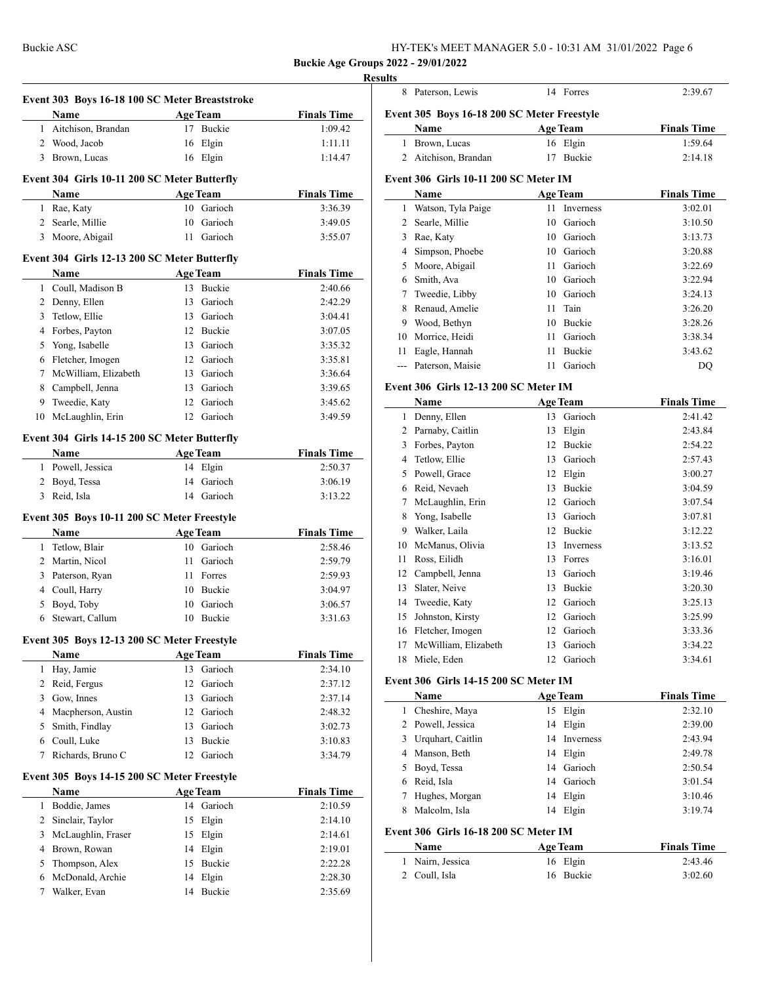Buckie ASC HY-TEK's MEET MANAGER 5.0 - 10:31 AM 31/01/2022 Page 6

**Buckie Age Groups 2022 - 29/01/2022**

|              | Event 303 Boys 16-18 100 SC Meter Breaststroke |                       |                    |
|--------------|------------------------------------------------|-----------------------|--------------------|
|              | Name                                           | <b>Age Team</b>       | <b>Finals Time</b> |
|              | 1 Aitchison, Brandan                           | 17 Buckie             | 1:09.42            |
|              | 2 Wood, Jacob                                  | 16 Elgin              | 1:11.11            |
|              | 3 Brown, Lucas                                 | 16 Elgin              | 1:14.47            |
|              | Event 304 Girls 10-11 200 SC Meter Butterfly   |                       |                    |
|              | Name                                           | <b>Age Team</b>       | <b>Finals Time</b> |
|              | 1 Rae, Katy                                    | 10 Garioch            | 3:36.39            |
|              | 2 Searle, Millie                               | 10 Garioch            | 3:49.05            |
|              | 3 Moore, Abigail                               | 11 Garioch            | 3:55.07            |
|              | Event 304 Girls 12-13 200 SC Meter Butterfly   |                       |                    |
|              | Name                                           | <b>Age Team</b>       | <b>Finals Time</b> |
|              | 1 Coull, Madison B                             | 13 Buckie             | 2:40.66            |
|              | 2 Denny, Ellen                                 | 13 Garioch            | 2:42.29            |
|              | 3 Tetlow, Ellie                                | 13 Garioch            | 3:04.41            |
|              | 4 Forbes, Payton                               | 12 Buckie             | 3:07.05            |
|              | 5 Yong, Isabelle                               | 13 Garioch            | 3:35.32            |
|              | 6 Fletcher, Imogen                             | 12 Garioch            | 3:35.81            |
| $\tau$       | McWilliam, Elizabeth                           | 13 Garioch            | 3:36.64            |
|              | 8 Campbell, Jenna                              | 13 Garioch            | 3:39.65            |
|              | 9 Tweedie, Katy                                | 12 Garioch            | 3:45.62            |
|              | 10 McLaughlin, Erin                            | 12 Garioch            | 3:49.59            |
|              | Event 304 Girls 14-15 200 SC Meter Butterfly   |                       |                    |
|              | Name                                           | <b>Age Team</b>       | <b>Finals Time</b> |
|              | 1 Powell, Jessica                              | 14 Elgin              | 2:50.37            |
|              | 2 Boyd, Tessa                                  | 14 Garioch            | 3:06.19            |
|              | 3 Reid, Isla                                   | 14 Garioch            | 3:13.22            |
|              | Event 305 Boys 10-11 200 SC Meter Freestyle    |                       |                    |
|              | Name                                           | Age Team              | <b>Finals Time</b> |
|              | 1 Tetlow, Blair                                | 10 Garioch            | 2:58.46            |
|              | 2 Martin, Nicol                                | 11 Garioch            | 2:59.79            |
|              | 3 Paterson, Ryan                               | 11 Forres             | 2:59.93            |
|              | 4 Coull, Harry                                 | 10 Buckie             | 3:04.97            |
| 5            | Boyd, Toby                                     | 10 Garioch            | 3:06.57            |
|              | 6 Stewart, Callum                              | 10 Buckie             | 3:31.63            |
|              | Event 305 Boys 12-13 200 SC Meter Freestyle    |                       |                    |
|              | <b>Name</b>                                    | <b>Age Team</b>       | <b>Finals Time</b> |
| 1            | Hay, Jamie                                     | 13 Garioch            | 2:34.10            |
|              | 2 Reid, Fergus                                 | 12 Garioch            | 2:37.12            |
|              | 3 Gow, Innes                                   | 13 Garioch            | 2:37.14            |
|              | 4 Macpherson, Austin                           | 12 Garioch            | 2:48.32            |
| 5            | Smith, Findlay                                 | 13 Garioch            | 3:02.73            |
|              | 6 Coull, Luke                                  | 13 Buckie             | 3:10.83            |
| 7            | Richards, Bruno C                              | 12 Garioch            | 3:34.79            |
|              | Event 305 Boys 14-15 200 SC Meter Freestyle    |                       |                    |
|              | Name                                           | <b>Age Team</b>       | <b>Finals Time</b> |
|              | Boddie, James                                  | 14 Garioch            | 2:10.59            |
| 1            | Sinclair, Taylor                               | 15 Elgin              | 2:14.10            |
| $\mathbf{2}$ |                                                |                       |                    |
| 3            |                                                |                       | 2:14.61            |
| 4            | McLaughlin, Fraser<br>Brown, Rowan             | 15 Elgin              | 2:19.01            |
| 5            |                                                | 14 Elgin<br>15        |                    |
| 6            | Thompson, Alex<br>McDonald, Archie             | Buckie<br>Elgin<br>14 | 2:22.28<br>2:28.30 |

|                                               | 8 Paterson, Lewis                            |                 | 14 Forres               | 2:39.67            |  |  |
|-----------------------------------------------|----------------------------------------------|-----------------|-------------------------|--------------------|--|--|
| Event 305 Boys 16-18 200 SC Meter Freestyle   |                                              |                 |                         |                    |  |  |
| <b>Finals Time</b><br>Name<br><b>Age Team</b> |                                              |                 |                         |                    |  |  |
| 1                                             | Brown, Lucas                                 |                 | 16 Elgin                | 1:59.64            |  |  |
| $\overline{2}$                                | Aitchison, Brandan                           |                 | 17 Buckie               | 2:14.18            |  |  |
|                                               |                                              |                 |                         |                    |  |  |
|                                               | Event 306 Girls 10-11 200 SC Meter IM        |                 |                         |                    |  |  |
|                                               | Name                                         | <b>Age Team</b> |                         | <b>Finals Time</b> |  |  |
| $\mathbf{1}$                                  | Watson, Tyla Paige                           | 11              | Inverness               | 3:02.01            |  |  |
|                                               | 2 Searle, Millie                             |                 | 10 Garioch              | 3:10.50            |  |  |
|                                               | 3 Rae, Katy                                  |                 | 10 Garioch              | 3:13.73            |  |  |
|                                               | 4 Simpson, Phoebe                            |                 | 10 Garioch              | 3:20.88            |  |  |
| 5                                             | Moore, Abigail                               | 11              | Garioch                 | 3:22.69            |  |  |
|                                               | 6 Smith, Ava                                 |                 | 10 Garioch              | 3:22.94            |  |  |
| 7                                             | Tweedie, Libby<br>8 Renaud, Amelie           | 11              | 10 Garioch<br>Tain      | 3:24.13<br>3:26.20 |  |  |
|                                               |                                              |                 | 10 Buckie               | 3:28.26            |  |  |
|                                               | 9 Wood, Bethyn<br>10 Morrice, Heidi          |                 | 11 Garioch              | 3:38.34            |  |  |
| 11                                            | Eagle, Hannah                                |                 | 11 Buckie               | 3:43.62            |  |  |
| ---                                           | Paterson, Maisie                             | 11              | Garioch                 | DQ                 |  |  |
|                                               |                                              |                 |                         |                    |  |  |
|                                               | <b>Event 306 Girls 12-13 200 SC Meter IM</b> |                 |                         |                    |  |  |
|                                               | Name                                         | <b>Age Team</b> |                         | <b>Finals Time</b> |  |  |
|                                               | 1 Denny, Ellen                               |                 | 13 Garioch              | 2:41.42            |  |  |
|                                               | 2 Parnaby, Caitlin                           |                 | 13 Elgin                | 2:43.84            |  |  |
|                                               | 3 Forbes, Payton                             |                 | 12 Buckie               | 2:54.22            |  |  |
|                                               | 4 Tetlow, Ellie                              |                 | 13 Garioch              | 2:57.43            |  |  |
|                                               | 5 Powell, Grace                              |                 | 12 Elgin                | 3:00.27            |  |  |
|                                               | 6 Reid, Nevaeh                               |                 | 13 Buckie               | 3:04.59            |  |  |
| 7                                             | McLaughlin, Erin                             |                 | 12 Garioch              | 3:07.54            |  |  |
| 8                                             | Yong, Isabelle                               |                 | 13 Garioch              | 3:07.81            |  |  |
|                                               | 9 Walker, Laila                              |                 | 12 Buckie               | 3:12.22            |  |  |
|                                               | 10 McManus, Olivia                           |                 | 13 Inverness            | 3:13.52            |  |  |
| 11                                            | Ross, Eilidh                                 |                 | 13 Forres               | 3:16.01            |  |  |
|                                               | 12 Campbell, Jenna<br>Slater, Neive          |                 | 13 Garioch<br>13 Buckie | 3:19.46            |  |  |
| 13                                            |                                              |                 | 12 Garioch              | 3:20.30            |  |  |
| 14<br>15                                      | Tweedie, Katy<br>Johnston, Kirsty            |                 | 12 Garioch              | 3:25.13<br>3:25.99 |  |  |
|                                               | 16 Fletcher, Imogen                          |                 | 12 Garioch              | 3:33.36            |  |  |
| 17                                            | McWilliam, Elizabeth                         | 13              | Garioch                 | 3:34.22            |  |  |
| 18                                            | Miele, Eden                                  | 12              | Garioch                 | 3:34.61            |  |  |
|                                               |                                              |                 |                         |                    |  |  |
|                                               | Event 306 Girls 14-15 200 SC Meter IM        |                 |                         |                    |  |  |
|                                               | <b>Name</b>                                  | <b>Age Team</b> |                         | <b>Finals Time</b> |  |  |
| 1                                             | Cheshire, Maya                               |                 | 15 Elgin                | 2:32.10            |  |  |
|                                               | 2 Powell, Jessica                            |                 | 14 Elgin                | 2:39.00            |  |  |
|                                               | 3 Urquhart, Caitlin                          |                 | 14 Inverness            | 2:43.94            |  |  |
|                                               | 4 Manson, Beth                               |                 | 14 Elgin                | 2:49.78            |  |  |
|                                               | 5 Boyd, Tessa                                |                 | 14 Garioch              | 2:50.54            |  |  |
|                                               | 6 Reid, Isla                                 |                 | 14 Garioch              | 3:01.54            |  |  |
| 7                                             | Hughes, Morgan                               |                 | 14 Elgin                | 3:10.46            |  |  |
| 8                                             | Malcolm, Isla                                |                 | 14 Elgin                | 3:19.74            |  |  |
|                                               | Event 306 Girls 16-18 200 SC Meter IM        |                 |                         |                    |  |  |
|                                               | Name                                         | <b>Age Team</b> |                         | <b>Finals Time</b> |  |  |
| 1                                             | Nairn, Jessica                               |                 | 16 Elgin                | 2:43.46            |  |  |
|                                               | 2 Coull, Isla                                |                 | 16 Buckie               | 3:02.60            |  |  |
|                                               |                                              |                 |                         |                    |  |  |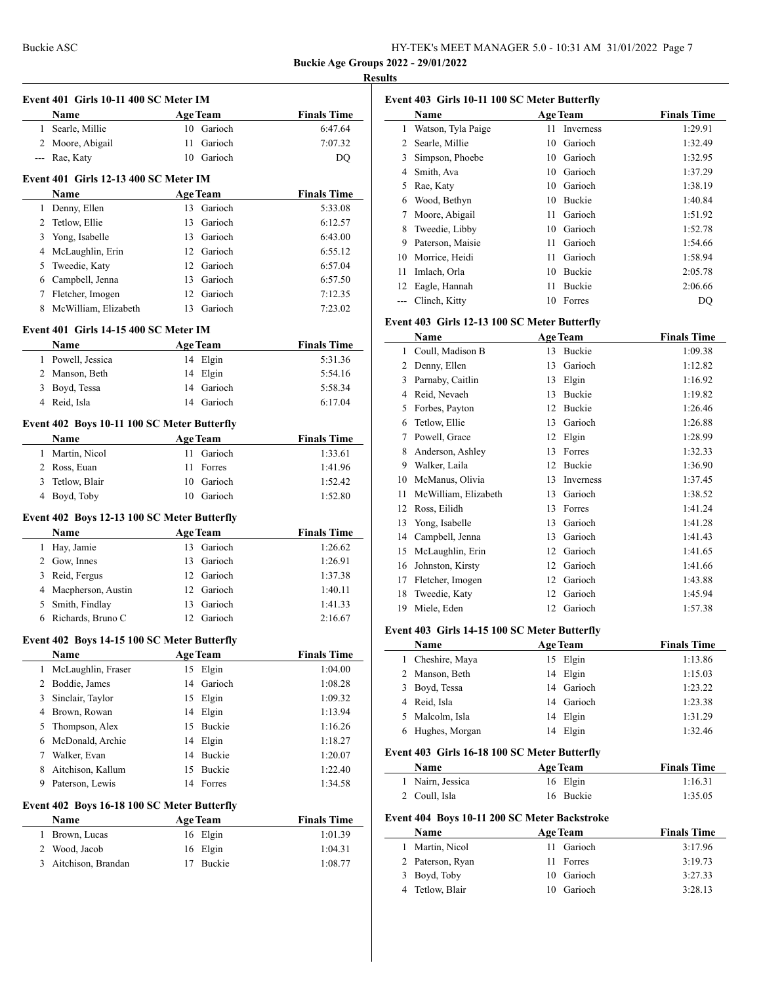#### **Results**

 $\overline{a}$ 

| Event 401 Girls 10-11 400 SC Meter IM |                                                      |      |                 |                    |
|---------------------------------------|------------------------------------------------------|------|-----------------|--------------------|
|                                       | Name                                                 |      | <b>Age Team</b> | <b>Finals Time</b> |
|                                       | 1 Searle, Millie                                     |      | 10 Garioch      | 6:47.64            |
|                                       | 2 Moore, Abigail                                     | 11   | Garioch         | 7:07.32            |
|                                       | --- Rae, Katy                                        |      | 10 Garioch      | DQ                 |
|                                       |                                                      |      |                 |                    |
|                                       | <b>Event 401 Girls 12-13 400 SC Meter IM</b><br>Name |      | <b>Age Team</b> | <b>Finals Time</b> |
|                                       | 1 Denny, Ellen                                       | 13   | Garioch         | 5:33.08            |
|                                       | 2 Tetlow, Ellie                                      |      | 13 Garioch      | 6:12.57            |
|                                       | 3 Yong, Isabelle                                     |      | 13 Garioch      | 6:43.00            |
|                                       | 4 McLaughlin, Erin                                   |      | 12 Garioch      | 6:55.12            |
| 5                                     | Tweedie, Katy                                        |      | 12 Garioch      | 6:57.04            |
|                                       | 6 Campbell, Jenna                                    |      | 13 Garioch      | 6:57.50            |
|                                       |                                                      |      | 12 Garioch      | 7:12.35            |
| 8                                     | 7 Fletcher, Imogen<br>McWilliam, Elizabeth           | 13   | Garioch         | 7:23.02            |
|                                       |                                                      |      |                 |                    |
|                                       | Event 401 Girls 14-15 400 SC Meter IM                |      |                 |                    |
|                                       | Name                                                 |      | <b>Age Team</b> | <b>Finals Time</b> |
|                                       | 1 Powell, Jessica                                    |      | 14 Elgin        | 5:31.36            |
|                                       | 2 Manson, Beth                                       |      | 14 Elgin        | 5:54.16            |
|                                       | 3 Boyd, Tessa                                        |      | 14 Garioch      | 5:58.34            |
|                                       | 4 Reid, Isla                                         |      | 14 Garioch      | 6:17.04            |
|                                       | Event 402 Boys 10-11 100 SC Meter Butterfly          |      |                 |                    |
|                                       | Name                                                 |      | <b>Age Team</b> | <b>Finals Time</b> |
|                                       | 1 Martin, Nicol                                      | 11   | Garioch         | 1:33.61            |
|                                       | 2 Ross, Euan                                         | 11 - | Forres          | 1:41.96            |
|                                       | 3 Tetlow, Blair                                      |      | 10 Garioch      | 1:52.42            |
|                                       | 4 Boyd, Toby                                         |      | 10 Garioch      | 1:52.80            |
|                                       | Event 402 Boys 12-13 100 SC Meter Butterfly          |      |                 |                    |
|                                       | Name                                                 |      | <b>Age Team</b> | <b>Finals Time</b> |
|                                       | 1 Hay, Jamie                                         |      | 13 Garioch      | 1:26.62            |
|                                       | 2 Gow, Innes                                         |      | 13 Garioch      | 1:26.91            |
|                                       | 3 Reid, Fergus                                       |      | 12 Garioch      | 1:37.38            |
|                                       | 4 Macpherson, Austin                                 |      | 12 Garioch      | 1:40.11            |
|                                       | 5 Smith, Findlay                                     |      | 13 Garioch      | 1:41.33            |
|                                       | 6 Richards, Bruno C                                  |      | 12 Garioch      | 2:16.67            |
|                                       |                                                      |      |                 |                    |
|                                       |                                                      |      |                 |                    |
|                                       | Event 402 Boys 14-15 100 SC Meter Butterfly          |      |                 |                    |
|                                       | Name                                                 |      | <b>Age Team</b> | <b>Finals Time</b> |
| 1                                     | McLaughlin, Fraser                                   | 15   | Elgin           | 1:04.00            |
|                                       | 2 Boddie, James                                      | 14   | Garioch         | 1:08.28            |
|                                       | 3 Sinclair, Taylor                                   | 15   | Elgin           | 1:09.32            |
|                                       | 4 Brown, Rowan                                       | 14   | Elgin           | 1:13.94            |
| 5                                     | Thompson, Alex                                       | 15   | Buckie          | 1:16.26            |
|                                       | 6 McDonald, Archie                                   | 14   | Elgin           | 1:18.27            |
|                                       | 7 Walker, Evan                                       | 14   | Buckie          | 1:20.07            |
| 8                                     | Aitchison, Kallum                                    | 15   | Buckie          | 1:22.40            |
| 9                                     | Paterson, Lewis                                      | 14   | Forres          | 1:34.58            |
|                                       | Event 402 Boys 16-18 100 SC Meter Butterfly          |      |                 |                    |
|                                       | Name                                                 |      | <b>Age Team</b> | <b>Finals Time</b> |
| 1                                     | Brown, Lucas                                         |      | 16 Elgin        | 1:01.39            |
|                                       | 2 Wood, Jacob                                        | 16   | Elgin           | 1:04.31            |

| Event 403 Girls 10-11 100 SC Meter Butterfly |                    |    |               |         |  |
|----------------------------------------------|--------------------|----|---------------|---------|--|
|                                              | <b>Finals Time</b> |    |               |         |  |
| 1                                            | Watson, Tyla Paige | 11 | Inverness     | 1:29.91 |  |
| 2                                            | Searle, Millie     | 10 | Garioch       | 1:32.49 |  |
| 3                                            | Simpson, Phoebe    | 10 | Garioch       | 1:32.95 |  |
| 4                                            | Smith, Ava         | 10 | Garioch       | 1:37.29 |  |
| 5                                            | Rae, Katy          | 10 | Garioch       | 1:38.19 |  |
| 6                                            | Wood, Bethyn       | 10 | <b>Buckie</b> | 1:40.84 |  |
| 7                                            | Moore, Abigail     | 11 | Garioch       | 1:51.92 |  |
| 8                                            | Tweedie, Libby     | 10 | Garioch       | 1:52.78 |  |
| 9                                            | Paterson, Maisie   | 11 | Garioch       | 1:54.66 |  |
| 10                                           | Morrice, Heidi     | 11 | Garioch       | 1:58.94 |  |
| 11                                           | Imlach, Orla       | 10 | Buckie        | 2:05.78 |  |
| 12                                           | Eagle, Hannah      | 11 | <b>Buckie</b> | 2:06.66 |  |
| ---                                          | Clinch, Kitty      | 10 | Forres        | DO      |  |

## **Event 403 Girls 12-13 100 SC Meter Butterfly**

|    | Name                 |    | <b>Age Team</b> | <b>Finals Time</b> |
|----|----------------------|----|-----------------|--------------------|
| 1  | Coull, Madison B     | 13 | Buckie          | 1:09.38            |
| 2  | Denny, Ellen         | 13 | Garioch         | 1:12.82            |
| 3  | Parnaby, Caitlin     | 13 | Elgin           | 1:16.92            |
| 4  | Reid, Nevaeh         | 13 | Buckie          | 1:19.82            |
| 5  | Forbes, Payton       | 12 | Buckie          | 1:26.46            |
| 6  | Tetlow, Ellie        | 13 | Garioch         | 1:26.88            |
| 7  | Powell, Grace        | 12 | Elgin           | 1:28.99            |
| 8  | Anderson, Ashley     | 13 | Forres          | 1:32.33            |
| 9  | Walker, Laila        | 12 | Buckie          | 1:36.90            |
| 10 | McManus, Olivia      | 13 | Inverness       | 1:37.45            |
| 11 | McWilliam, Elizabeth | 13 | Garioch         | 1:38.52            |
| 12 | Ross, Eilidh         | 13 | Forres          | 1:41.24            |
| 13 | Yong, Isabelle       | 13 | Garioch         | 1:41.28            |
| 14 | Campbell, Jenna      | 13 | Garioch         | 1:41.43            |
| 15 | McLaughlin, Erin     | 12 | Garioch         | 1:41.65            |
| 16 | Johnston, Kirsty     | 12 | Garioch         | 1:41.66            |
| 17 | Fletcher, Imogen     | 12 | Garioch         | 1:43.88            |
| 18 | Tweedie, Katy        | 12 | Garioch         | 1:45.94            |
| 19 | Miele, Eden          | 12 | Garioch         | 1:57.38            |

## **Event 403 Girls 14-15 100 SC Meter Butterfly**

| Name<br><b>Age Team</b> |  | <b>Finals Time</b> |         |
|-------------------------|--|--------------------|---------|
| 1 Cheshire, Maya        |  | 15 Elgin           | 1:13.86 |
| 2 Manson, Beth          |  | 14 Elgin           | 1:15.03 |
| 3 Boyd, Tessa           |  | 14 Garioch         | 1:23.22 |
| 4 Reid, Isla            |  | 14 Garioch         | 1:23.38 |
| 5 Malcolm, Isla         |  | 14 Elgin           | 1:31.29 |
| 6 Hughes, Morgan        |  | 14 Elgin           | 1:32.46 |

## **Event 403 Girls 16-18 100 SC Meter Butterfly**

| <b>Name</b>      | <b>Age Team</b> | <b>Finals Time</b> |
|------------------|-----------------|--------------------|
| 1 Nairn, Jessica | 16 Elgin        | 1:16.31            |
| 2 Coull, Isla    | 16 Buckie       | 1:35.05            |

# **Event 404 Boys 10-11 200 SC Meter Backstroke**

| Name             | <b>Age Team</b> | <b>Finals Time</b> |
|------------------|-----------------|--------------------|
| Martin, Nicol    | 11 Garioch      | 3:17.96            |
| 2 Paterson, Ryan | Forres<br>11    | 3:19.73            |
| 3 Boyd, Toby     | 10 Garioch      | 3:27.33            |
| 4 Tetlow, Blair  | Garioch         | 3:28.13            |